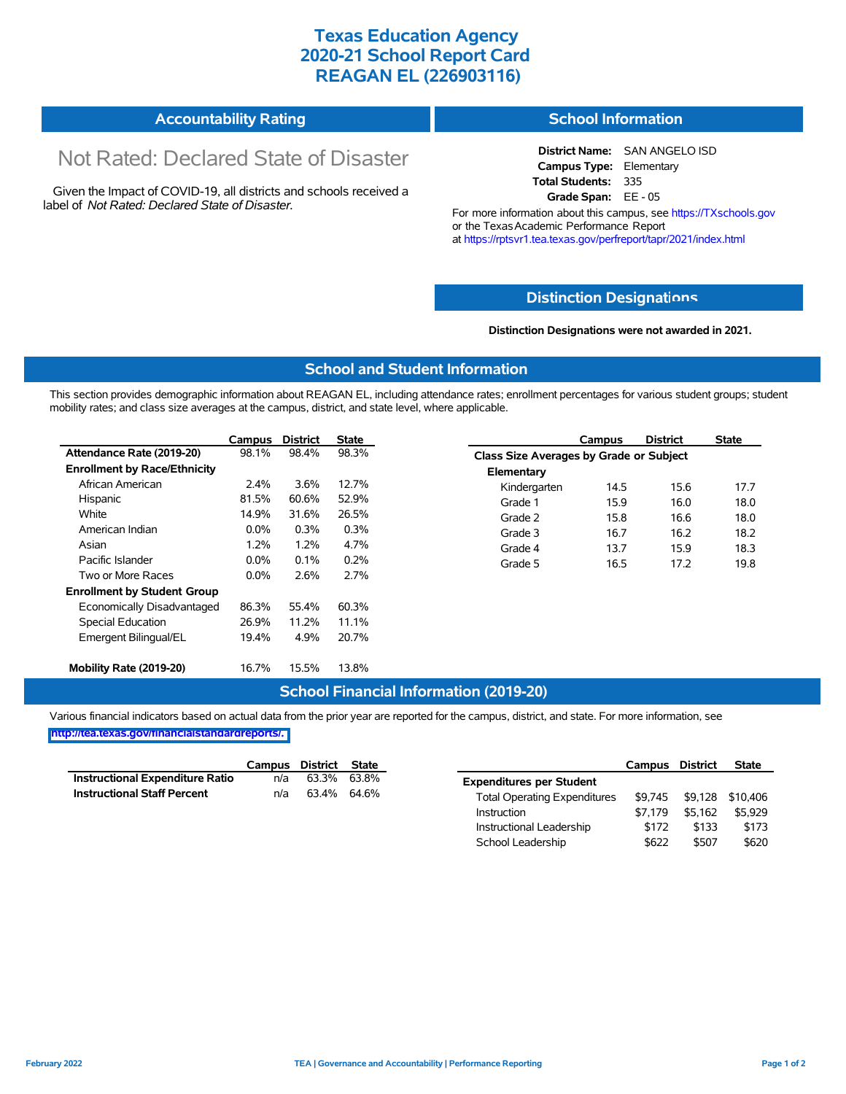# **Texas Education Agency 2020-21 School Report Card REAGAN EL (226903116)**

| <b>Accountability Rating</b> | <b>School Information</b> |
|------------------------------|---------------------------|
|------------------------------|---------------------------|

# Not Rated: Declared State of Disaster

Given the Impact of COVID-19, all districts and schools received a label of *Not Rated: Declared State of Disaster.*

**District Name:** SAN ANGELO ISD **Campus Type:** Elementary **Total Students:** 335 **Grade Span:** EE - 05

For more information about this campus, see https://TXschools.gov or the Texas Academic Performance Report at https://rptsvr1.tea.texas.gov/perfreport/tapr/2021/index.html

## **Distinction Designat[ions](https://TXschools.gov)**

**Distinction Designations were not awarded in 2021.**

School Leadership  $$622$  \$507 \$620

#### **School and Student Information**

This section provides demographic information about REAGAN EL, including attendance rates; enrollment percentages for various student groups; student mobility rates; and class size averages at the campus, district, and state level, where applicable.

|                                     | Campus  | <b>District</b> | <b>State</b> |              | Campus                                  | <b>District</b> | <b>State</b> |  |
|-------------------------------------|---------|-----------------|--------------|--------------|-----------------------------------------|-----------------|--------------|--|
| Attendance Rate (2019-20)           | 98.1%   | 98.4%           | 98.3%        |              | Class Size Averages by Grade or Subject |                 |              |  |
| <b>Enrollment by Race/Ethnicity</b> |         |                 |              | Elementary   |                                         |                 |              |  |
| African American                    | $2.4\%$ | $3.6\%$         | 12.7%        | Kindergarten | 14.5                                    | 15.6            | 17.7         |  |
| Hispanic                            | 81.5%   | 60.6%           | 52.9%        | Grade 1      | 15.9                                    | 16.0            | 18.0         |  |
| White                               | 14.9%   | 31.6%           | 26.5%        | Grade 2      | 15.8                                    | 16.6            | 18.0         |  |
| American Indian                     | $0.0\%$ | 0.3%            | 0.3%         | Grade 3      | 16.7                                    | 16.2            | 18.2         |  |
| Asian                               | 1.2%    | 1.2%            | 4.7%         | Grade 4      | 13.7                                    | 15.9            | 18.3         |  |
| Pacific Islander                    | $0.0\%$ | 0.1%            | 0.2%         | Grade 5      | 16.5                                    | 17.2            | 19.8         |  |
| Two or More Races                   | $0.0\%$ | 2.6%            | 2.7%         |              |                                         |                 |              |  |
| <b>Enrollment by Student Group</b>  |         |                 |              |              |                                         |                 |              |  |
| Economically Disadvantaged          | 86.3%   | 55.4%           | 60.3%        |              |                                         |                 |              |  |
| Special Education                   | 26.9%   | 11.2%           | 11.1%        |              |                                         |                 |              |  |
| Emergent Bilingual/EL               | 19.4%   | 4.9%            | 20.7%        |              |                                         |                 |              |  |
|                                     |         |                 |              |              |                                         |                 |              |  |
| Mobility Rate (2019-20)             | 16.7%   | 15.5%           | 13.8%        |              |                                         |                 |              |  |

## **School Financial Information (2019-20)**

Various financial indicators based on actual data from the prior year are reported for the campus, district, and state. For more information, see

**[http://tea.texas.gov/financialstandardreports/.](http://tea.texas.gov/financialstandardreports/)**

|                                        | Campus | District State |             |                                     | Campus  | <b>District</b>          | <b>State</b> |
|----------------------------------------|--------|----------------|-------------|-------------------------------------|---------|--------------------------|--------------|
| <b>Instructional Expenditure Ratio</b> | n/a    | 63.3%          | 63.8%       | <b>Expenditures per Student</b>     |         |                          |              |
| <b>Instructional Staff Percent</b>     | n/a    |                | 63.4% 64.6% | <b>Total Operating Expenditures</b> |         | \$9,745 \$9,128 \$10,406 |              |
|                                        |        |                |             | Instruction                         | \$7.179 | \$5.162                  | \$5,929      |
|                                        |        |                |             | Instructional Leadership            | \$172   | \$133                    | \$173        |